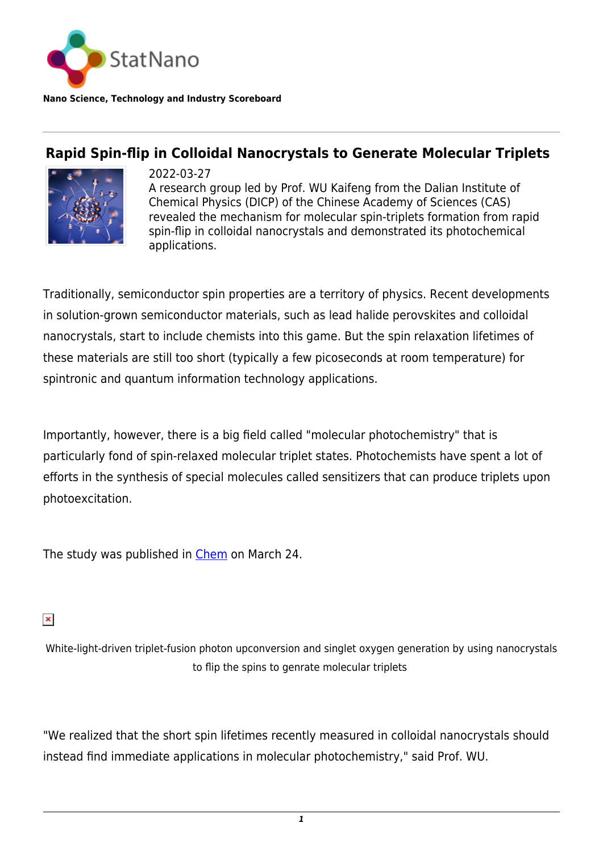

**Nano Science, Technology and Industry Scoreboard**

## **Rapid Spin-flip in Colloidal Nanocrystals to Generate Molecular Triplets**



2022-03-27 A research group led by Prof. WU Kaifeng from the Dalian Institute of Chemical Physics (DICP) of the Chinese Academy of Sciences (CAS) revealed the mechanism for molecular spin-triplets formation from rapid spin-flip in colloidal nanocrystals and demonstrated its photochemical applications.

Traditionally, semiconductor spin properties are a territory of physics. Recent developments in solution-grown semiconductor materials, such as lead halide perovskites and colloidal nanocrystals, start to include chemists into this game. But the spin relaxation lifetimes of these materials are still too short (typically a few picoseconds at room temperature) for spintronic and quantum information technology applications.

Importantly, however, there is a big field called "molecular photochemistry" that is particularly fond of spin-relaxed molecular triplet states. Photochemists have spent a lot of efforts in the synthesis of special molecules called sensitizers that can produce triplets upon photoexcitation.

The study was published in [Chem](https://www.sciencedirect.com/science/article/abs/pii/S2451929422001309#:~:text=In%20this%20system%2C%20excitation%20of%20either%20the%20nanocrystal,upconversion%2C%20singlet-oxygen%20generation%2C%20and%20many%20more%20photochemical%20applications.?msclkid=0fed1f27abd311ec8c7b3f8b51dc4e8d) on March 24.

## $\pmb{\times}$

White-light-driven triplet-fusion photon upconversion and singlet oxygen generation by using nanocrystals to flip the spins to genrate molecular triplets

"We realized that the short spin lifetimes recently measured in colloidal nanocrystals should instead find immediate applications in molecular photochemistry," said Prof. WU.